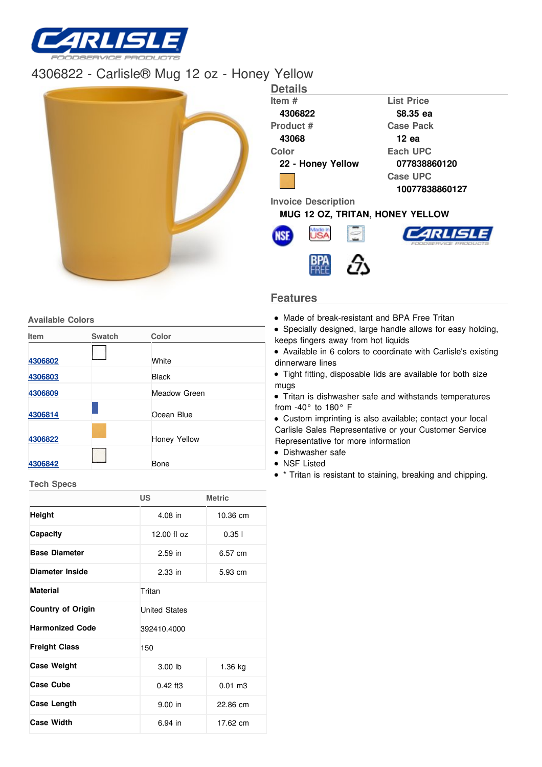

# [4306822](/) - Carlisle® Mug 12 oz - Honey Yellow



## **Features**

- Made of break-resistant and BPA Free Tritan
- Specially designed, large handle allows for easy holding, keeps fingers away from hot liquids
- Available in 6 colors to coordinate with Carlisle's existing dinnerware lines
- Tight fitting, disposable lids are available for both size mugs
- Tritan is dishwasher safe and withstands temperatures from -40° to 180° F
- Custom imprinting is also available; contact your local Carlisle Sales Representative or your Customer Service Representative for more information
- Dishwasher safe
- NSF Listed
- \* Tritan is resistant to staining, breaking and chipping.

| Item    | <b>Swatch</b> | Color               |  |
|---------|---------------|---------------------|--|
| 4306802 |               | White               |  |
| 4306803 |               | <b>Black</b>        |  |
| 4306809 |               | Meadow Green        |  |
| 4306814 |               | Ocean Blue          |  |
| 4306822 |               | <b>Honey Yellow</b> |  |
| 4306842 |               | Bone                |  |

**Tech Specs**

|                          | <b>US</b>            | <b>Metric</b>        |  |  |
|--------------------------|----------------------|----------------------|--|--|
| <b>Height</b>            | 4.08 in              | 10.36 cm             |  |  |
| Capacity                 | 12.00 fl oz          | 0.351                |  |  |
| <b>Base Diameter</b>     | $2.59$ in            | 6.57 cm              |  |  |
| Diameter Inside          | $2.33$ in            | 5.93 cm              |  |  |
| <b>Material</b>          | Tritan               |                      |  |  |
| <b>Country of Origin</b> | <b>United States</b> |                      |  |  |
| <b>Harmonized Code</b>   | 392410.4000          |                      |  |  |
| <b>Freight Class</b>     | 150                  |                      |  |  |
| <b>Case Weight</b>       | 3.00 lb              | 1.36 kg              |  |  |
| <b>Case Cube</b>         | $0.42$ ft3           | $0.01 \, \text{m}$ 3 |  |  |
| <b>Case Length</b>       | $9.00$ in            | 22.86 cm             |  |  |
| <b>Case Width</b>        | 6.94 in              | 17.62 cm             |  |  |